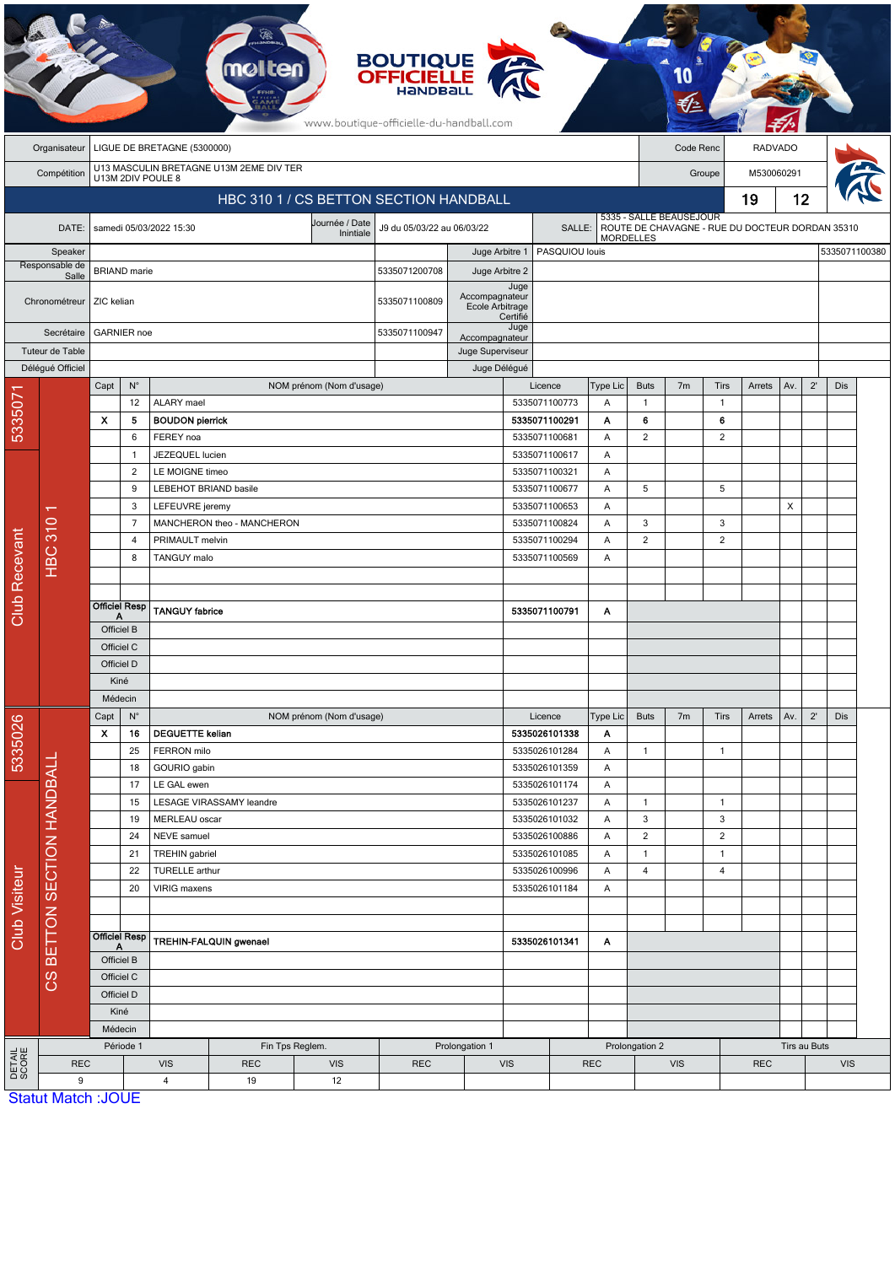| <b>BOUTIQUE</b><br><b>OFFICIELLE</b><br><b>molten</b><br><b>HANDBAL</b><br>www.boutique-officielle-du-handball.com |                         |                                                             |                                        |                                                                                   |                                         |                          |  |                          |                                                   |                                    |                                               |                                 |                      |                     |                                                                                     |                     |              |              |              |     |  |
|--------------------------------------------------------------------------------------------------------------------|-------------------------|-------------------------------------------------------------|----------------------------------------|-----------------------------------------------------------------------------------|-----------------------------------------|--------------------------|--|--------------------------|---------------------------------------------------|------------------------------------|-----------------------------------------------|---------------------------------|----------------------|---------------------|-------------------------------------------------------------------------------------|---------------------|--------------|--------------|--------------|-----|--|
|                                                                                                                    | Organisateur            |                                                             | LIGUE DE BRETAGNE (5300000)            |                                                                                   |                                         |                          |  |                          |                                                   |                                    |                                               |                                 |                      | Code Renc           |                                                                                     | <b>RADVADO</b>      |              |              |              |     |  |
|                                                                                                                    | Compétition             | U13 MASCULIN BRETAGNE U13M 2EME DIV TER                     |                                        |                                                                                   |                                         |                          |  |                          |                                                   |                                    |                                               |                                 | M530060291<br>Groupe |                     |                                                                                     |                     |              |              |              |     |  |
|                                                                                                                    |                         | U13M 2DIV POULE 8<br>HBC 310 1 / CS BETTON SECTION HANDBALL |                                        |                                                                                   |                                         |                          |  |                          |                                                   |                                    |                                               |                                 |                      |                     |                                                                                     |                     | 19           | 12           |              |     |  |
|                                                                                                                    |                         |                                                             |                                        |                                                                                   |                                         |                          |  | Journée / Date           |                                                   |                                    |                                               |                                 |                      |                     | 5335 - SALLE BEAUSEJOUR<br>SALLE:   ROUTE DE CHAVAGNE - RUE DU DOCTEUR DORDAN 35310 |                     |              |              |              |     |  |
| DATE:                                                                                                              |                         |                                                             | samedi 05/03/2022 15:30                |                                                                                   |                                         |                          |  | Inintiale                | J9 du 05/03/22 au 06/03/22                        |                                    |                                               |                                 |                      | <b>MORDELLES</b>    |                                                                                     |                     |              |              |              |     |  |
| Speaker<br>Responsable de                                                                                          |                         |                                                             | <b>BRIAND</b> marie                    |                                                                                   |                                         |                          |  |                          | Juge Arbitre 1<br>5335071200708<br>Juge Arbitre 2 |                                    |                                               | 5335071100380<br>PASQUIOU louis |                      |                     |                                                                                     |                     |              |              |              |     |  |
| Salle                                                                                                              |                         |                                                             |                                        |                                                                                   |                                         |                          |  |                          |                                                   |                                    | Juge                                          |                                 |                      |                     |                                                                                     |                     |              |              |              |     |  |
| Chronométreur                                                                                                      |                         |                                                             | ZIC kelian                             |                                                                                   |                                         |                          |  |                          | 5335071100809                                     |                                    | Accompagnateur<br>Ecole Arbitrage<br>Certifié |                                 |                      |                     |                                                                                     |                     |              |              |              |     |  |
| Secrétaire                                                                                                         |                         |                                                             | <b>GARNIER</b> noe                     |                                                                                   |                                         |                          |  |                          | 5335071100947                                     |                                    | Juge                                          |                                 |                      |                     |                                                                                     |                     |              |              |              |     |  |
| Tuteur de Table                                                                                                    |                         |                                                             |                                        |                                                                                   |                                         |                          |  |                          |                                                   | Accompagnateur<br>Juge Superviseur |                                               |                                 |                      |                     |                                                                                     |                     |              |              |              |     |  |
|                                                                                                                    | Déléqué Officiel        |                                                             |                                        |                                                                                   |                                         |                          |  |                          |                                                   |                                    | Juge Délégué                                  |                                 |                      |                     |                                                                                     |                     |              |              |              |     |  |
|                                                                                                                    |                         |                                                             | Capt                                   | $N^{\circ}$                                                                       |                                         |                          |  | NOM prénom (Nom d'usage) |                                                   |                                    |                                               | Licence                         | Type Lic             | <b>Buts</b>         | 7 <sub>m</sub>                                                                      | <b>Tirs</b>         | Arrets       | Av.          | $2^{\prime}$ | Dis |  |
| 5335071                                                                                                            |                         |                                                             | x                                      | 12<br>5                                                                           | ALARY mael<br><b>BOUDON pierrick</b>    |                          |  |                          |                                                   |                                    |                                               | 5335071100773<br>5335071100291  | Α<br>Α               | $\mathbf{1}$<br>6   |                                                                                     | $\overline{1}$<br>6 |              |              |              |     |  |
|                                                                                                                    |                         |                                                             | 6<br>$\mathbf{1}$<br>$\overline{2}$    |                                                                                   | FEREY noa                               |                          |  |                          |                                                   |                                    |                                               | 5335071100681                   | Α                    | $\overline{c}$      |                                                                                     | $\overline{2}$      |              |              |              |     |  |
|                                                                                                                    |                         |                                                             |                                        |                                                                                   | <b>JEZEQUEL lucien</b>                  |                          |  |                          |                                                   |                                    |                                               | 5335071100617<br>Α              |                      |                     |                                                                                     |                     |              |              |              |     |  |
|                                                                                                                    |                         |                                                             |                                        |                                                                                   | LE MOIGNE timeo                         |                          |  |                          |                                                   |                                    |                                               | 5335071100321                   | A                    |                     |                                                                                     |                     |              |              |              |     |  |
|                                                                                                                    |                         |                                                             |                                        | 9                                                                                 | LEBEHOT BRIAND basile                   |                          |  |                          |                                                   |                                    |                                               | 5335071100677                   | Α                    | 5                   |                                                                                     | 5                   |              |              |              |     |  |
|                                                                                                                    | <b>HBC310</b>           |                                                             |                                        | 3                                                                                 | LEFEUVRE jeremy                         |                          |  |                          |                                                   |                                    |                                               | Α                               |                      |                     |                                                                                     |                     | Χ            |              |              |     |  |
|                                                                                                                    |                         |                                                             |                                        | MANCHERON theo - MANCHERON<br>$\overline{7}$<br>$\overline{4}$<br>PRIMAULT melvin |                                         |                          |  |                          |                                                   |                                    |                                               | 5335071100824                   | Α                    | 3<br>$\overline{2}$ |                                                                                     | 3<br>$\overline{2}$ |              |              |              |     |  |
|                                                                                                                    |                         |                                                             | 8                                      |                                                                                   | TANGUY malo                             |                          |  |                          |                                                   |                                    |                                               | 5335071100294<br>5335071100569  | Α<br>A               |                     |                                                                                     |                     |              |              |              |     |  |
|                                                                                                                    |                         |                                                             |                                        |                                                                                   |                                         |                          |  |                          |                                                   |                                    |                                               |                                 |                      |                     |                                                                                     |                     |              |              |              |     |  |
|                                                                                                                    |                         |                                                             |                                        |                                                                                   |                                         |                          |  |                          |                                                   |                                    |                                               |                                 |                      |                     |                                                                                     |                     |              |              |              |     |  |
| <b>Club Recevant</b>                                                                                               |                         |                                                             | <b>Officiel Resp</b>                   |                                                                                   | <b>TANGUY fabrice</b>                   |                          |  |                          |                                                   | 5335071100791                      | Α                                             |                                 |                      |                     |                                                                                     |                     |              |              |              |     |  |
|                                                                                                                    |                         |                                                             | Officiel B                             |                                                                                   |                                         |                          |  |                          |                                                   |                                    |                                               |                                 |                      |                     |                                                                                     |                     |              |              |              |     |  |
|                                                                                                                    |                         |                                                             | Officiel C                             |                                                                                   |                                         |                          |  |                          |                                                   |                                    |                                               |                                 |                      |                     |                                                                                     |                     |              |              |              |     |  |
|                                                                                                                    |                         |                                                             | Officiel D<br>Kiné                     |                                                                                   |                                         |                          |  |                          |                                                   |                                    |                                               |                                 |                      |                     |                                                                                     |                     |              |              |              |     |  |
|                                                                                                                    |                         |                                                             | Médecin                                |                                                                                   |                                         |                          |  |                          |                                                   |                                    |                                               |                                 |                      |                     |                                                                                     |                     |              |              |              |     |  |
|                                                                                                                    |                         |                                                             | $N^{\circ}$<br>Capt                    |                                                                                   | NOM prénom (Nom d'usage)                |                          |  |                          |                                                   |                                    | Licence                                       | Type Lic                        | <b>Buts</b>          | 7 <sub>m</sub>      | Tirs                                                                                | Arrets              | Av.          | $2^{\prime}$ | Dis          |     |  |
|                                                                                                                    |                         |                                                             | $\boldsymbol{\mathsf{x}}$<br>16        |                                                                                   |                                         | <b>DEGUETTE kellan</b>   |  |                          |                                                   |                                    |                                               | 5335026101338                   | Α                    |                     |                                                                                     |                     |              |              |              |     |  |
| 5335026                                                                                                            |                         |                                                             |                                        | 25                                                                                | FERRON milo                             |                          |  |                          |                                                   |                                    |                                               | 5335026101284                   | Α                    | $\mathbf{1}$        |                                                                                     | $\overline{1}$      |              |              |              |     |  |
|                                                                                                                    |                         |                                                             |                                        | 18                                                                                | GOURIO gabin                            |                          |  |                          |                                                   |                                    | 5335026101359                                 | A                               |                      |                     |                                                                                     |                     |              |              |              |     |  |
|                                                                                                                    |                         |                                                             | 17                                     |                                                                                   | LE GAL ewen                             |                          |  |                          |                                                   |                                    |                                               | 5335026101174                   | Α<br>Α               |                     |                                                                                     |                     |              |              |              |     |  |
|                                                                                                                    |                         |                                                             |                                        | 15<br>19                                                                          | MERLEAU oscar                           | LESAGE VIRASSAMY leandre |  |                          |                                                   |                                    |                                               | 5335026101237<br>5335026101032  | Α                    | $\mathbf{1}$<br>3   |                                                                                     | $\overline{1}$<br>3 |              |              |              |     |  |
|                                                                                                                    |                         |                                                             |                                        | 24                                                                                | NEVE samuel                             |                          |  |                          |                                                   |                                    |                                               | 5335026100886                   | Α                    | $\overline{2}$      |                                                                                     | $\overline{2}$      |              |              |              |     |  |
| Club Visiteur                                                                                                      |                         |                                                             | 21<br>22                               |                                                                                   | <b>TREHIN</b> gabriel<br>TURELLE arthur |                          |  |                          |                                                   |                                    |                                               | 5335026101085<br>5335026100996  |                      | $\mathbf{1}$        |                                                                                     | $\overline{1}$      |              |              |              |     |  |
|                                                                                                                    |                         |                                                             |                                        |                                                                                   |                                         |                          |  |                          |                                                   |                                    | 4                                             |                                 |                      |                     | 4                                                                                   |                     |              |              |              |     |  |
|                                                                                                                    |                         |                                                             |                                        | 20                                                                                | VIRIG maxens                            |                          |  |                          |                                                   |                                    |                                               | 5335026101184                   | Α                    |                     |                                                                                     |                     |              |              |              |     |  |
|                                                                                                                    |                         |                                                             |                                        |                                                                                   |                                         |                          |  |                          |                                                   |                                    |                                               |                                 |                      |                     |                                                                                     |                     |              |              |              |     |  |
|                                                                                                                    |                         |                                                             | <b>Officiel Resp</b>                   |                                                                                   |                                         |                          |  |                          |                                                   | 5335026101341                      |                                               |                                 |                      |                     |                                                                                     |                     |              |              |              |     |  |
|                                                                                                                    | BETTON SECTION HANDBALI |                                                             | Officiel B<br>Officiel C<br>Officiel D |                                                                                   | TREHIN-FALQUIN gwenael                  |                          |  |                          |                                                   |                                    |                                               |                                 |                      |                     |                                                                                     |                     |              |              |              |     |  |
|                                                                                                                    | <b>SC</b>               |                                                             |                                        |                                                                                   |                                         |                          |  |                          |                                                   |                                    |                                               |                                 |                      |                     |                                                                                     |                     |              |              |              |     |  |
|                                                                                                                    |                         |                                                             |                                        |                                                                                   |                                         |                          |  |                          |                                                   |                                    |                                               |                                 |                      |                     |                                                                                     |                     |              |              |              |     |  |
|                                                                                                                    |                         |                                                             | Kiné                                   |                                                                                   |                                         |                          |  |                          |                                                   |                                    |                                               |                                 |                      |                     |                                                                                     |                     |              |              |              |     |  |
|                                                                                                                    |                         |                                                             | Médecin                                |                                                                                   |                                         |                          |  |                          |                                                   |                                    |                                               |                                 |                      |                     |                                                                                     |                     |              |              |              |     |  |
|                                                                                                                    |                         |                                                             | Période 1                              |                                                                                   | Fin Tps Reglem.                         |                          |  | Prolongation 1           |                                                   |                                    |                                               | Prolongation 2                  |                      |                     |                                                                                     |                     | Tirs au Buts |              |              |     |  |
| DETAIL<br>SCORE                                                                                                    | <b>REC</b><br>9         |                                                             |                                        |                                                                                   | <b>VIS</b><br>4                         | <b>REC</b><br>19         |  | <b>VIS</b><br>12         | <b>REC</b>                                        |                                    | <b>VIS</b>                                    | <b>REC</b>                      |                      | <b>VIS</b>          |                                                                                     |                     | <b>REC</b>   |              | <b>VIS</b>   |     |  |
|                                                                                                                    |                         |                                                             | <b>Statut Match: JOUE</b>              |                                                                                   |                                         |                          |  |                          |                                                   |                                    |                                               |                                 |                      |                     |                                                                                     |                     |              |              |              |     |  |

 $\mathcal{F}$ 

**Statut Match : JOU**